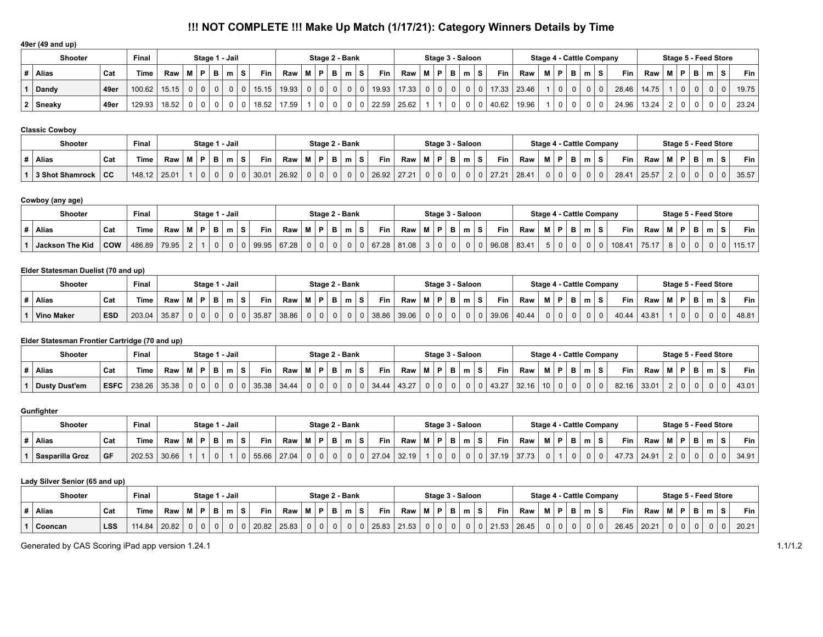# **!!! NOT COMPLETE !!! Make Up Match (1/17/21): Category Winners Details by Time**

### **49er (49 and up)**

|                | <b>Shooter</b> |      | Final  |       |   |    |   | Stage 1 - Jail |          |            |       |   |          | Stage 2 - Bank |   |   |            |       |          |                |   | Stage 3 - Saloon |    |            |               | <b>Stage 4 - Cattle Company</b> |          |          |   |       |       |                |    |     | Stage 5 - Feed Store |   |             |
|----------------|----------------|------|--------|-------|---|----|---|----------------|----------|------------|-------|---|----------|----------------|---|---|------------|-------|----------|----------------|---|------------------|----|------------|---------------|---------------------------------|----------|----------|---|-------|-------|----------------|----|-----|----------------------|---|-------------|
| #              | Alias          | Cat  | Time   | Raw   | м | D. | в | m              | <b>S</b> | <b>Fin</b> | Raw   | М | D.       | В              | m | s | <b>Fin</b> | Raw   | <b>M</b> | $\mathsf{P}$   | В | m                | -S | <b>Fin</b> | Raw           | м                               | P        | в        | m | Fin   | Raw   | $\blacksquare$ | P. | B I | m                    | s | Fin $\vert$ |
|                | Dandy          | 49er | 100.62 | 15.15 |   |    |   |                |          | 15.15      | 19.93 |   |          |                |   |   | 19.93      | 17.33 |          | 0 <sup>1</sup> |   |                  |    |            | $17.33$ 23.46 |                                 | $\Omega$ | $\Omega$ |   | 28.46 | 14.75 |                |    |     |                      |   | 19.75       |
| 2 <sup>1</sup> | ∣ Sneaky       | 49er | 129.93 | 18.52 |   |    |   |                |          | 18.52      | 17.59 |   | $\Omega$ |                |   |   | 22.59      | 25.62 |          |                |   |                  |    | 40.62      | 19.96         |                                 | $\Omega$ | $\Omega$ |   | 24.96 | 13.24 |                |    |     |                      |   | 23.24       |

### **Classic Cowboy**

| <b>Shooter</b>         |           | Final        |                                                     |  |                | Stage 1 - Jail |                  |       |          |          |          | Stage 2 - Bank |       |       |     |          | Stage 3 - Saloon |                |    |            |       | Stage 4 - Cattle Company |   |   |          |            |         |      |   | Stage 5 - Feed Store |          |       |
|------------------------|-----------|--------------|-----------------------------------------------------|--|----------------|----------------|------------------|-------|----------|----------|----------|----------------|-------|-------|-----|----------|------------------|----------------|----|------------|-------|--------------------------|---|---|----------|------------|---------|------|---|----------------------|----------|-------|
| <b>Alias</b>           | Cat       | <b>Time</b>  | $\mathsf{Raw} \mid \mathsf{M} \mid \mathsf{P} \mid$ |  | $\mathbf{B}^+$ | m <sub>1</sub> | Fin <sub>1</sub> | Raw   | M   P    |          | - B      | m              | Fin   | Raw   | MPI |          | в                | m <sub>1</sub> | S. | <b>Fin</b> | Raw   |                          | D | в | m ∣S     | <b>Fin</b> | Raw   M | IP I | B | m                    | <b>s</b> | Fin   |
| <b>3 Shot Shamrock</b> | <b>CC</b> | 148.12 25.01 |                                                     |  |                | 0 <sup>1</sup> | 30.01            | 26.92 | $\Omega$ | $\Omega$ | $\Omega$ |                | 26.92 | 27.21 |     | $\Omega$ |                  |                |    | 27.21      | 28.41 |                          |   |   | $\Omega$ | 28.41      | 25.57   |      |   | $\Omega$             |          | 35.57 |

# **Cowboy (any age)**

| <b>Shooter</b>  |            | Final       |       |    | Stage 1 - Jail |              |    |            |       |   |    | Stage 2 - Bank |    |             |     | Stage 3 - Saloon |   |            |       | Stage 4 - Cattle Company |                 |              |     |           |       | Stage 5 - Feed Store |   |                |           |        |
|-----------------|------------|-------------|-------|----|----------------|--------------|----|------------|-------|---|----|----------------|----|-------------|-----|------------------|---|------------|-------|--------------------------|-----------------|--------------|-----|-----------|-------|----------------------|---|----------------|-----------|--------|
| <b>Alias</b>    | Cat        | <b>Time</b> | Raw   | МI | P.             | $\mathbf{m}$ | -S | <b>Fin</b> | Raw   | м | P. |                | m. | Fin         | Raw | <b>MP</b>        | m | <b>Fin</b> | Raw   |                          | M P             | в            | ∶m∣ | Fin       | Raw I |                      | в | m              | $\bullet$ | Fin    |
| Jackson The Kid | <b>COW</b> | 486.89      | 79.95 |    |                |              |    | 99.95      | 67.28 |   |    |                |    | 67.28 81.08 |     |                  |   | 96.08      | 83.41 |                          | 50 <sub>1</sub> | $\mathbf{0}$ |     | $108.4^*$ | 75.17 |                      |   | 0 <sup>1</sup> |           | 115.17 |

## **Elder Statesman Duelist (70 and up)**

| <b>Shooter</b>    |            | Final  |       | Stage 1 |   | l - Jail       |       |       |          |      |          | Stage 2 - Bank |       |       |    |              | Stage 3 - Saloon |            |       | Stage 4 - Cattle Company |   |                |       |       |  |   | Stage 5 - Feed Store |            |       |
|-------------------|------------|--------|-------|---------|---|----------------|-------|-------|----------|------|----------|----------------|-------|-------|----|--------------|------------------|------------|-------|--------------------------|---|----------------|-------|-------|--|---|----------------------|------------|-------|
| <b>Alias</b>      | ็ Cat      | Time   | Raw   | P       | в | m <sub>1</sub> | Fin L | Raw   |          | - 63 |          | m              | Fin   | Raw   | мI | $\mathsf{P}$ | m                | <b>Fin</b> | Raw   |                          | Ð | m <sub>1</sub> | Fin   | Raw I |  | в | m                    | $\epsilon$ | Fin   |
| <b>Vino Maker</b> | <b>ESD</b> | 203.04 | 35.87 |         |   | $\Omega$       | 35.87 | 38.86 | $\Omega$ | 0    | $\Omega$ |                | 38.86 | 39.06 |    | 0            |                  | 39.06      | 40.44 |                          |   |                | 40.44 | 43.81 |  |   | 0                    |            | 48.81 |

# **Elder Statesman Frontier Cartridge (70 and up)**

| <b>Shooter</b>       |             | Final       |       |           |          | Stage 1 - Jail |            |       |     |     |    | Stage 2 - Bank |    |            |       |   | Stage 3 - Saloon |     |   |            |       |                 |     |                |      | Stage 4 - Cattle Company |       |   |          |   | Stage 5 - Feed Store |       |
|----------------------|-------------|-------------|-------|-----------|----------|----------------|------------|-------|-----|-----|----|----------------|----|------------|-------|---|------------------|-----|---|------------|-------|-----------------|-----|----------------|------|--------------------------|-------|---|----------|---|----------------------|-------|
| Alias                | Cat         | <b>Time</b> | Raw   | <b>MP</b> | в        | m <sub>1</sub> | <b>Fin</b> | Raw   | M I | ∣P. | в. | m <sub>1</sub> | -S | <b>Fin</b> | Raw   | M | P I              | . . | m | <b>Fin</b> | Raw   | M               | P.  | B '            | ∣m I | Fin.                     | Raw   |   | B        | m |                      | Fin   |
| <b>Dusty Dust'em</b> | <b>ESFC</b> | 238.26      | 35.38 | $\Omega$  | $\Omega$ |                | 35.38      | 34.44 |     |     | 0  |                |    | 34.44      | 43.27 |   |                  |     |   | 43.27      | 32.16 | 10 <sup>1</sup> | - 0 | 0 <sup>1</sup> |      | 82.16                    | 33.01 | 0 | $\Omega$ |   |                      | 43.01 |

## **Gunfighter**

| <b>Shooter</b>  |     | Final       |       |      | Stage 1 - Jail |                |   |       |       |   |    | Stage 2 - Bank |            |       |   |   | Stage 3 - Saloon |              |    |            |       |      |  |     | Stage 4 - Cattle Company |       |    |   | Stage 5 - Feed Store |           |       |
|-----------------|-----|-------------|-------|------|----------------|----------------|---|-------|-------|---|----|----------------|------------|-------|---|---|------------------|--------------|----|------------|-------|------|--|-----|--------------------------|-------|----|---|----------------------|-----------|-------|
| Alias           | Cat | <b>Time</b> | Raw   | - 63 | -              | m <sub>1</sub> | s | Fin   | Raw   | M | P. | m              | <b>Fin</b> | Raw   | М | P | в.               | $\mathbf{m}$ | -S | <b>Fin</b> | Raw   | - 13 |  | m∣S | Fin                      | Raw ∣ | в. | в | m                    | $\bullet$ | Fin   |
| Sasparilla Groz | GF  | 202.53      | 30.66 |      | $\mathbf{0}$   |                |   | 55.66 | 27.04 |   | 0  |                | 27.04      | 32.19 |   | 0 | 0                |              |    | 37.19      | 37.73 |      |  |     | 17 72                    | 24.91 |    |   | 0                    |           | 34.91 |

## **Lady Silver Senior (65 and up)**

| <b>Shooter</b> |            | ≂inal       |       |   |           |   | Stage 1 - Jail |       |       |      |       | Stage 2 - Bank |          |       |       |    | Stage 3 - Saloon |                |   |            |       |   |                | Stage 4 - Cattle Company |       |       |   |   |   | Stage 5 - Feed Store |       |
|----------------|------------|-------------|-------|---|-----------|---|----------------|-------|-------|------|-------|----------------|----------|-------|-------|----|------------------|----------------|---|------------|-------|---|----------------|--------------------------|-------|-------|---|---|---|----------------------|-------|
| <b>Alias</b>   | Cat        | <b>Time</b> | Raw   |   | <b>MP</b> | в | $\sim$         | Fin.  | Raw   | IP I | - B 1 | $m \mid S$     |          | Fin . | Raw   | мI | IP.              | B              | m | <b>Fin</b> | Raw   | Ð | m <sub>1</sub> |                          | Fin   | Raw   | . | B | m | $\bullet$            | Fin   |
| Cooncan        | <b>LSS</b> | 114.84      | 20.82 | 0 |           |   |                | 20.82 | 25.83 |      |       | 0 <sup>1</sup> | $\Omega$ | 25.83 | 21.53 |    | 0 <sub>0</sub>   | 0 <sup>1</sup> |   | 21.53      | 26.45 |   | $\Omega$       |                          | 26.45 | 20.21 |   |   | 0 |                      | 20.21 |

Generated by CAS Scoring iPad app version 1.24.1 1.1/1.2